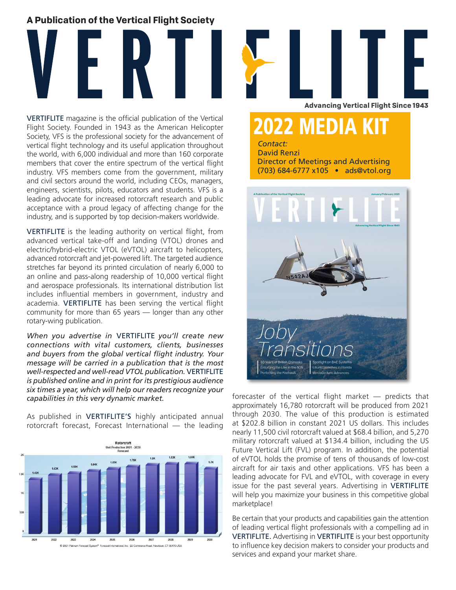## **A Publication of the Vertical Flight Society**



VERTIFLITE magazine is the official publication of the Vertical Flight Society. Founded in 1943 as the American Helicopter Society, VFS is the professional society for the advancement of vertical flight technology and its useful application throughout the world, with 6,000 individual and more than 160 corporate members that cover the entire spectrum of the vertical flight industry. VFS members come from the government, military and civil sectors around the world, including CEOs, managers, engineers, scientists, pilots, educators and students. VFS is a leading advocate for increased rotorcraft research and public acceptance with a proud legacy of affecting change for the industry, and is supported by top decision-makers worldwide.

VERTIFLITE is the leading authority on vertical flight, from advanced vertical take-off and landing (VTOL) drones and electric/hybrid-electric VTOL (eVTOL) aircraft to helicopters, advanced rotorcraft and jet-powered lift. The targeted audience stretches far beyond its printed circulation of nearly 6,000 to an online and pass-along readership of 10,000 vertical flight and aerospace professionals. Its international distribution list includes influential members in government, industry and academia. VERTIFLITE has been serving the vertical flight community for more than 65 years — longer than any other rotary-wing publication.

*When you advertise in* VERTIFLITE *you'll create new connections with vital customers, clients, businesses and buyers from the global vertical flight industry. Your message will be carried in a publication that is the most well-respected and well-read VTOL publication.* VERTIFLITE *is published online and in print for its prestigious audience six times a year, which will help our readers recognize your capabilities in this very dynamic market.*

As published in VERTIFLITE'S highly anticipated annual rotorcraft forecast, Forecast International — the leading





**Advancing Vertical Flight Since 1943**

# 2022 MEDIA KIT

*Contact:* David Renzi Director of Meetings and Advertising (703) 684-6777 x105 • ads@vtol.org



forecaster of the vertical flight market — predicts that approximately 16,780 rotorcraft will be produced from 2021 through 2030. The value of this production is estimated at \$202.8 billion in constant 2021 US dollars. This includes nearly 11,500 civil rotorcraft valued at \$68.4 billion, and 5,270 military rotorcraft valued at \$134.4 billion, including the US Future Vertical Lift (FVL) program. In addition, the potential of eVTOL holds the promise of tens of thousands of low-cost aircraft for air taxis and other applications. VFS has been a leading advocate for FVL and eVTOL, with coverage in every issue for the past several years. Advertising in VERTIFLITE will help you maximize your business in this competitive global marketplace!

Be certain that your products and capabilities gain the attention of leading vertical flight professionals with a compelling ad in VERTIFLITE. Advertising in VERTIFLITE is your best opportunity to influence key decision makers to consider your products and services and expand your market share.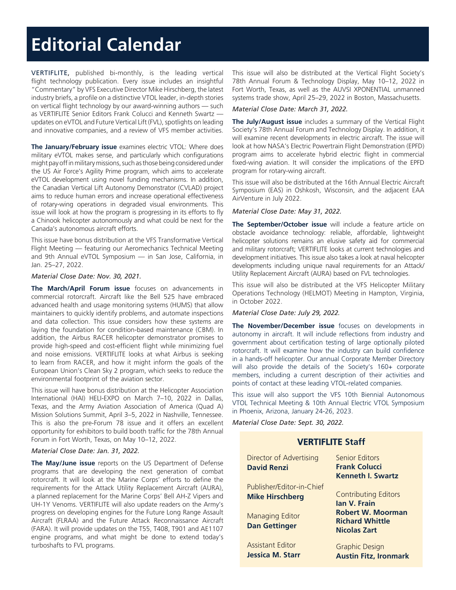# **Editorial Calendar**

VERTIFLITE, published bi-monthly, is the leading vertical flight technology publication. Every issue includes an insightful "Commentary" by VFS Executive Director Mike Hirschberg, the latest industry briefs, a profile on a distinctive VTOL leader, in-depth stories on vertical flight technology by our award-winning authors — such as VERTIFLITE Senior Editors Frank Colucci and Kenneth Swartz updates on eVTOL and Future Vertical Lift (FVL), spotlights on leading and innovative companies, and a review of VFS member activities.

**The January/February issue** examines electric VTOL: Where does military eVTOL makes sense, and particularly which configurations might pay off in military missions, such as those being considered under the US Air Force's Agility Prime program, which aims to accelerate eVTOL development using novel funding mechanisms. In addition, the Canadian Vertical Lift Autonomy Demonstrator (CVLAD) project aims to reduce human errors and increase operational effectiveness of rotary-wing operations in degraded visual environments. This issue will look at how the program is progressing in its efforts to fly a Chinook helicopter autonomously and what could be next for the Canada's autonomous aircraft efforts.

This issue have bonus distribution at the VFS Transformative Vertical Flight Meeting — featuring our Aeromechanics Technical Meeting and 9th Annual eVTOL Symposium — in San Jose, California, in Jan. 25–27, 2022.

#### *Material Close Date: Nov. 30, 2021.*

**The March/April Forum issue** focuses on advancements in commercial rotorcraft. Aircraft like the Bell 525 have embraced advanced health and usage monitoring systems (HUMS) that allow maintainers to quickly identify problems, and automate inspections and data collection. This issue considers how these systems are laying the foundation for condition-based maintenance (CBM). In addition, the Airbus RACER helicopter demonstrator promises to provide high-speed and cost-efficient flight while minimizing fuel and noise emissions. VERTIFLITE looks at what Airbus is seeking to learn from RACER, and how it might inform the goals of the European Union's Clean Sky 2 program, which seeks to reduce the environmental footprint of the aviation sector.

This issue will have bonus distribution at the Helicopter Association International (HAI) HELI-EXPO on March 7–10, 2022 in Dallas, Texas, and the Army Aviation Association of America (Quad A) Mission Solutions Summit, April 3–5, 2022 in Nashville, Tennessee. This is also the pre-Forum 78 issue and it offers an excellent opportunity for exhibitors to build booth traffic for the 78th Annual Forum in Fort Worth, Texas, on May 10–12, 2022.

#### *Material Close Date: Jan. 31, 2022.*

**The May/June issue** reports on the US Department of Defense programs that are developing the next generation of combat rotorcraft. It will look at the Marine Corps' efforts to define the requirements for the Attack Utility Replacement Aircraft (AURA), a planned replacement for the Marine Corps' Bell AH-Z Vipers and UH-1Y Venoms. VERTIFLITE will also update readers on the Army's progress on developing engines for the Future Long Range Assault Aircraft (FLRAA) and the Future Attack Reconnaissance Aircraft (FARA). It will provide updates on the T55, T408, T901 and AE1107 engine programs, and what might be done to extend today's turboshafts to FVL programs.

This issue will also be distributed at the Vertical Flight Society's 78th Annual Forum & Technology Display, May 10–12, 2022 in Fort Worth, Texas, as well as the AUVSI XPONENTIAL unmanned systems trade show, April 25–29, 2022 in Boston, Massachusetts.

#### *Material Close Date: March 31, 2022.*

**The July/August issue** includes a summary of the Vertical Flight Society's 78th Annual Forum and Technology Display. In addition, it will examine recent developments in electric aircraft. The issue will look at how NASA's Electric Powertrain Flight Demonstration (EPFD) program aims to accelerate hybrid electric flight in commercial fixed-wing aviation. It will consider the implications of the EPFD program for rotary-wing aircraft.

This issue will also be distributed at the 16th Annual Electric Aircraft Symposium (EAS) in Oshkosh, Wisconsin, and the adjacent EAA AirVenture in July 2022.

#### *Material Close Date: May 31, 2022.*

**The September/October issue** will include a feature article on obstacle avoidance technology: reliable, affordable, lightweight helicopter solutions remains an elusive safety aid for commercial and military rotorcraft; VERTIFLITE looks at current technologies and development initiatives. This issue also takes a look at naval helicopter developments including unique naval requirements for an Attack/ Utility Replacement Aircraft (AURA) based on FVL technologies.

This issue will also be distributed at the VFS Helicopter Military Operations Technology (HELMOT) Meeting in Hampton, Virginia, in October 2022.

#### *Material Close Date: July 29, 2022.*

**The November/December issue** focuses on developments in autonomy in aircraft. It will include reflections from industry and government about certification testing of large optionally piloted rotorcraft. It will examine how the industry can build confidence in a hands-off helicopter. Our annual Corporate Member Directory will also provide the details of the Society's 160+ corporate members, including a current description of their activities and points of contact at these leading VTOL-related companies.

This issue will also support the VFS 10th Biennial Autonomous VTOL Technical Meeting & 10th Annual Electric VTOL Symposium in Phoenix, Arizona, January 24-26, 2023.

**VERTIFLITE Staff**

*Material Close Date: Sept. 30, 2022.*

| Director of Advertising   | <b>Senior Editors</b>                              |
|---------------------------|----------------------------------------------------|
| <b>David Renzi</b>        | <b>Frank Colucci</b><br><b>Kenneth I. Swartz</b>   |
| Publisher/Editor-in-Chief |                                                    |
| <b>Mike Hirschberg</b>    | <b>Contributing Editors</b><br><b>Ian V. Frain</b> |
| <b>Managing Editor</b>    | <b>Robert W. Moorman</b><br><b>Richard Whittle</b> |
| <b>Dan Gettinger</b>      | <b>Nicolas Zart</b>                                |
| Assistant Editor          | <b>Graphic Design</b>                              |
| Jessica M. Starr          | <b>Austin Fitz, Ironmark</b>                       |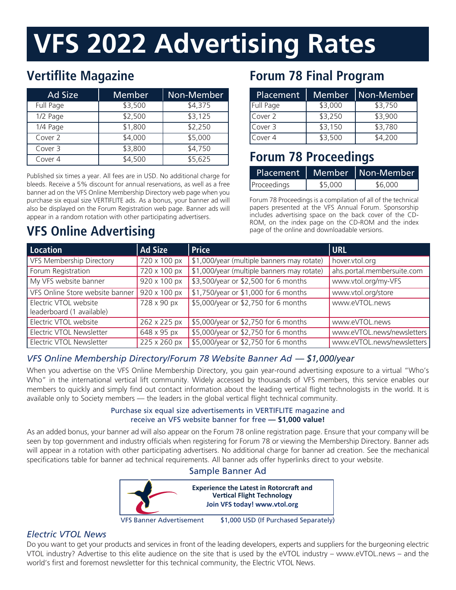# **VFS 2022 Advertising Rates**

# **Vertiflite Magazine**

| <b>Ad Size</b> | <b>Member</b> | Non-Member |
|----------------|---------------|------------|
| Full Page      | \$3,500       | \$4,375    |
| 1/2 Page       | \$2,500       | \$3,125    |
| 1/4 Page       | \$1,800       | \$2,250    |
| Cover 2        | \$4,000       | \$5,000    |
| Cover 3        | \$3,800       | \$4,750    |
| Cover 4        | \$4,500       | \$5,625    |

Published six times a year. All fees are in USD. No additional charge for bleeds. Receive a 5% discount for annual reservations, as well as a free banner ad on the VFS Online Membership Directory web page when you purchase six equal size VERTIFLITE ads. As a bonus, your banner ad will also be displayed on the Forum Registration web page. Banner ads will appear in a random rotation with other participating advertisers.

# **VFS Online Advertising**

# **Forum 78 Final Program**

| Placement | <b>Member</b> | Non-Member |
|-----------|---------------|------------|
| Full Page | \$3,000       | \$3,750    |
| Cover 2   | \$3,250       | \$3,900    |
| Cover 3   | \$3,150       | \$3,780    |
| Cover 4   | \$3,500       | \$4,200    |

# **Forum 78 Proceedings**

| Placement   |         | Member   Non-Member |
|-------------|---------|---------------------|
| Proceedings | \$5,000 | \$6,000             |

Forum 78 Proceedings is a compilation of all of the technical papers presented at the VFS Annual Forum. Sponsorship includes advertising space on the back cover of the CD-ROM, on the index page on the CD-ROM and the index page of the online and downloadable versions.

| Location                                           | <b>Ad Size</b>              | <b>Price</b>                               | URL                        |
|----------------------------------------------------|-----------------------------|--------------------------------------------|----------------------------|
| <b>VFS Membership Directory</b>                    | $720 \times 100 \text{ px}$ | \$1,000/year (multiple banners may rotate) | hover.vtol.org             |
| Forum Registration                                 | 720 x 100 px                | \$1,000/year (multiple banners may rotate) | ahs.portal.membersuite.com |
| My VFS website banner                              | 920 x 100 px                | \$3,500/year or \$2,500 for 6 months       | www.vtol.org/my-VFS        |
| VFS Online Store website banner                    | $920 \times 100$ px         | \$1,750/year or \$1,000 for 6 months       | www.vtol.org/store         |
| Electric VTOL website<br>leaderboard (1 available) | 728 x 90 px                 | \$5,000/year or \$2,750 for 6 months       | www.eVTOL.news             |
| Electric VTOL website                              | 262 x 225 px                | \$5,000/year or \$2,750 for 6 months       | www.eVTOL.news             |
| Electric VTOL Newsletter                           | 648 x 95 px                 | \$5,000/year or \$2,750 for 6 months       | www.eVTOL.news/newsletters |
| Electric VTOL Newsletter                           | 225 x 260 px                | \$5,000/year or \$2,750 for 6 months       | www.eVTOL.news/newsletters |

## *VFS Online Membership Directory/Forum 78 Website Banner Ad — \$1,000/year*

When you advertise on the VFS Online Membership Directory, you gain year-round advertising exposure to a virtual "Who's Who" in the international vertical lift community. Widely accessed by thousands of VFS members, this service enables our members to quickly and simply find out contact information about the leading vertical flight technologists in the world. It is available only to Society members — the leaders in the global vertical flight technical community.

## Purchase six equal size advertisements in VERTIFLITE magazine and receive an VFS website banner for free **— \$1,000 value!**

As an added bonus, your banner ad will also appear on the Forum 78 online registration page. Ensure that your company will be seen by top government and industry officials when registering for Forum 78 or viewing the Membership Directory. Banner ads will appear in a rotation with other participating advertisers. No additional charge for banner ad creation. See the mechanical specifications table for banner ad technical requirements. All banner ads offer hyperlinks direct to your website.

## Sample Banner Ad



VFS Banner Advertisement \$1,000 USD (If Purchased Separately)

## *Electric VTOL News*

Do you want to get your products and services in front of the leading developers, experts and suppliers for the burgeoning electric VTOL industry? Advertise to this elite audience on the site that is used by the eVTOL industry – www.eVTOL.news – and the world's first and foremost newsletter for this technical community, the Electric VTOL News.